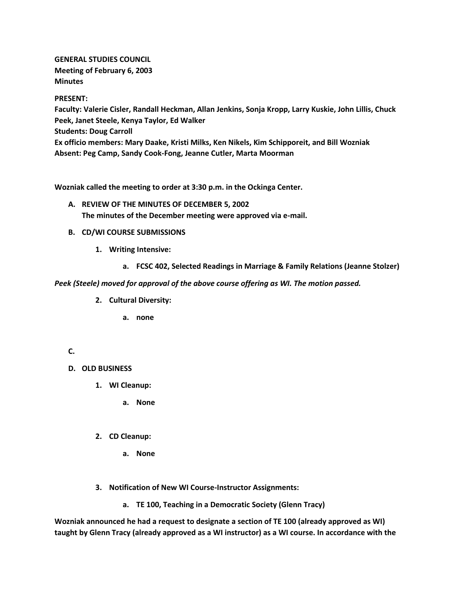**GENERAL STUDIES COUNCIL Meeting of February 6, 2003 Minutes**

#### **PRESENT:**

**Faculty: Valerie Cisler, Randall Heckman, Allan Jenkins, Sonja Kropp, Larry Kuskie, John Lillis, Chuck Peek, Janet Steele, Kenya Taylor, Ed Walker Students: Doug Carroll Ex officio members: Mary Daake, Kristi Milks, Ken Nikels, Kim Schipporeit, and Bill Wozniak Absent: Peg Camp, Sandy Cook-Fong, Jeanne Cutler, Marta Moorman**

**Wozniak called the meeting to order at 3:30 p.m. in the Ockinga Center.**

- **A. REVIEW OF THE MINUTES OF DECEMBER 5, 2002 The minutes of the December meeting were approved via e-mail.**
- **B. CD/WI COURSE SUBMISSIONS**
	- **1. Writing Intensive:** 
		- **a. FCSC 402, Selected Readings in Marriage & Family Relations (Jeanne Stolzer)**

#### *Peek (Steele) moved for approval of the above course offering as WI. The motion passed.*

- **2. Cultural Diversity:** 
	- **a. none**

## **C.**

- **D. OLD BUSINESS**
	- **1. WI Cleanup:** 
		- **a. None**
	- **2. CD Cleanup:** 
		- **a. None**
	- **3. Notification of New WI Course-Instructor Assignments:**
		- **a. TE 100, Teaching in a Democratic Society (Glenn Tracy)**

**Wozniak announced he had a request to designate a section of TE 100 (already approved as WI) taught by Glenn Tracy (already approved as a WI instructor) as a WI course. In accordance with the**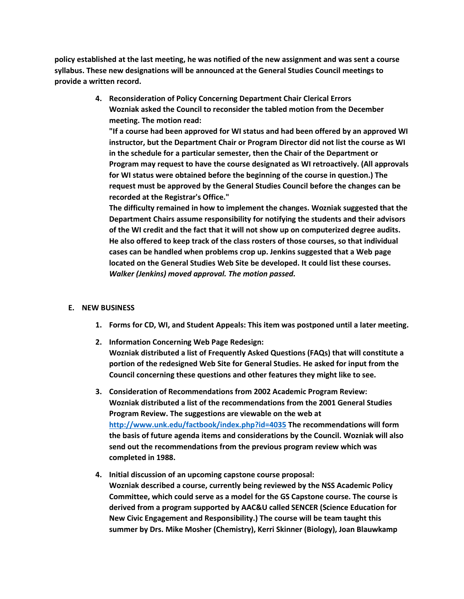**policy established at the last meeting, he was notified of the new assignment and was sent a course syllabus. These new designations will be announced at the General Studies Council meetings to provide a written record.**

> **4. Reconsideration of Policy Concerning Department Chair Clerical Errors Wozniak asked the Council to reconsider the tabled motion from the December meeting. The motion read:**

**"If a course had been approved for WI status and had been offered by an approved WI instructor, but the Department Chair or Program Director did not list the course as WI in the schedule for a particular semester, then the Chair of the Department or Program may request to have the course designated as WI retroactively. (All approvals for WI status were obtained before the beginning of the course in question.) The request must be approved by the General Studies Council before the changes can be recorded at the Registrar's Office."**

**The difficulty remained in how to implement the changes. Wozniak suggested that the Department Chairs assume responsibility for notifying the students and their advisors of the WI credit and the fact that it will not show up on computerized degree audits. He also offered to keep track of the class rosters of those courses, so that individual cases can be handled when problems crop up. Jenkins suggested that a Web page located on the General Studies Web Site be developed. It could list these courses.**  *Walker (Jenkins) moved approval. The motion passed.*

## **E. NEW BUSINESS**

- **1. Forms for CD, WI, and Student Appeals: This item was postponed until a later meeting.**
- **2. Information Concerning Web Page Redesign: Wozniak distributed a list of Frequently Asked Questions (FAQs) that will constitute a portion of the redesigned Web Site for General Studies. He asked for input from the Council concerning these questions and other features they might like to see.**
- **3. Consideration of Recommendations from 2002 Academic Program Review: Wozniak distributed a list of the recommendations from the 2001 General Studies Program Review. The suggestions are viewable on the web at <http://www.unk.edu/factbook/index.php?id=4035> The recommendations will form the basis of future agenda items and considerations by the Council. Wozniak will also send out the recommendations from the previous program review which was completed in 1988.**
- **4. Initial discussion of an upcoming capstone course proposal: Wozniak described a course, currently being reviewed by the NSS Academic Policy Committee, which could serve as a model for the GS Capstone course. The course is derived from a program supported by AAC&U called SENCER (Science Education for New Civic Engagement and Responsibility.) The course will be team taught this summer by Drs. Mike Mosher (Chemistry), Kerri Skinner (Biology), Joan Blauwkamp**